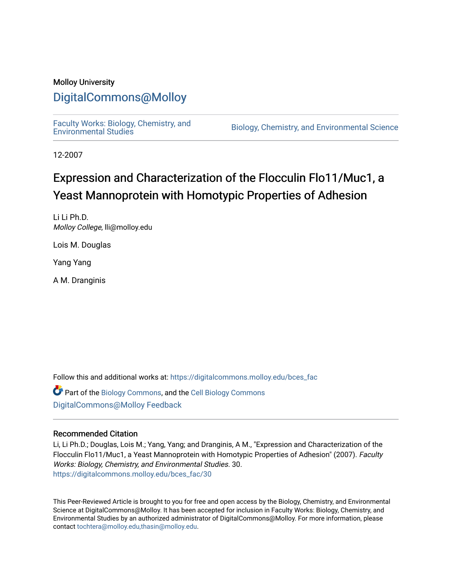## Molloy University

# [DigitalCommons@Molloy](https://digitalcommons.molloy.edu/)

[Faculty Works: Biology, Chemistry, and](https://digitalcommons.molloy.edu/bces_fac) 

Biology, Chemistry, and Environmental Science

12-2007

# Expression and Characterization of the Flocculin Flo11/Muc1, a Yeast Mannoprotein with Homotypic Properties of Adhesion

Li Li Ph.D. Molloy College, lli@molloy.edu

Lois M. Douglas

Yang Yang

A M. Dranginis

Follow this and additional works at: [https://digitalcommons.molloy.edu/bces\\_fac](https://digitalcommons.molloy.edu/bces_fac?utm_source=digitalcommons.molloy.edu%2Fbces_fac%2F30&utm_medium=PDF&utm_campaign=PDFCoverPages)

Part of the [Biology Commons,](https://network.bepress.com/hgg/discipline/41?utm_source=digitalcommons.molloy.edu%2Fbces_fac%2F30&utm_medium=PDF&utm_campaign=PDFCoverPages) and the [Cell Biology Commons](https://network.bepress.com/hgg/discipline/10?utm_source=digitalcommons.molloy.edu%2Fbces_fac%2F30&utm_medium=PDF&utm_campaign=PDFCoverPages) [DigitalCommons@Molloy Feedback](https://molloy.libwizard.com/f/dcfeedback)

### Recommended Citation

Li, Li Ph.D.; Douglas, Lois M.; Yang, Yang; and Dranginis, A M., "Expression and Characterization of the Flocculin Flo11/Muc1, a Yeast Mannoprotein with Homotypic Properties of Adhesion" (2007). Faculty Works: Biology, Chemistry, and Environmental Studies. 30. [https://digitalcommons.molloy.edu/bces\\_fac/30](https://digitalcommons.molloy.edu/bces_fac/30?utm_source=digitalcommons.molloy.edu%2Fbces_fac%2F30&utm_medium=PDF&utm_campaign=PDFCoverPages) 

This Peer-Reviewed Article is brought to you for free and open access by the Biology, Chemistry, and Environmental Science at DigitalCommons@Molloy. It has been accepted for inclusion in Faculty Works: Biology, Chemistry, and Environmental Studies by an authorized administrator of DigitalCommons@Molloy. For more information, please contact [tochtera@molloy.edu,thasin@molloy.edu.](mailto:tochtera@molloy.edu,thasin@molloy.edu)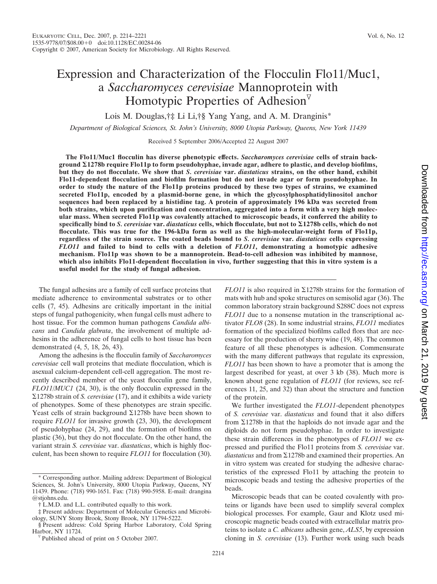# Expression and Characterization of the Flocculin Flo11/Muc1, a *Saccharomyces cerevisiae* Mannoprotein with Homotypic Properties of Adhesion $\overline{v}$

Lois M. Douglas,†‡ Li Li,†§ Yang Yang, and A. M. Dranginis\*

*Department of Biological Sciences, St. John's University, 8000 Utopia Parkway, Queens, New York 11439*

Received 5 September 2006/Accepted 22 August 2007

**The Flo11/Muc1 flocculin has diverse phenotypic effects.** *Saccharomyces cerevisiae* **cells of strain background 1278b require Flo11p to form pseudohyphae, invade agar, adhere to plastic, and develop biofilms, but they do not flocculate. We show that** *S. cerevisiae* **var.** *diastaticus* **strains, on the other hand, exhibit Flo11-dependent flocculation and biofilm formation but do not invade agar or form pseudohyphae. In order to study the nature of the Flo11p proteins produced by these two types of strains, we examined secreted Flo11p, encoded by a plasmid-borne gene, in which the glycosylphosphatidylinositol anchor sequences had been replaced by a histidine tag. A protein of approximately 196 kDa was secreted from both strains, which upon purification and concentration, aggregated into a form with a very high molecular mass. When secreted Flo11p was covalently attached to microscopic beads, it conferred the ability to specifically bind to** *S. cerevisiae* **var.** *diastaticus* **cells, which flocculate, but not to 1278b cells, which do not flocculate. This was true for the 196-kDa form as well as the high-molecular-weight form of Flo11p, regardless of the strain source. The coated beads bound to** *S. cerevisiae* **var.** *diastaticus* **cells expressing** *FLO11* **and failed to bind to cells with a deletion of** *FLO11***, demonstrating a homotypic adhesive mechanism. Flo11p was shown to be a mannoprotein. Bead-to-cell adhesion was inhibited by mannose, which also inhibits Flo11-dependent flocculation in vivo, further suggesting that this in vitro system is a useful model for the study of fungal adhesion.**

The fungal adhesins are a family of cell surface proteins that mediate adherence to environmental substrates or to other cells (7, 45). Adhesins are critically important in the initial steps of fungal pathogenicity, when fungal cells must adhere to host tissue. For the common human pathogens *Candida albicans* and *Candida glabrata*, the involvement of multiple adhesins in the adherence of fungal cells to host tissue has been demonstrated (4, 5, 18, 26, 43).

Among the adhesins is the flocculin family of *Saccharomyces cerevisiae* cell wall proteins that mediate flocculation, which is asexual calcium-dependent cell-cell aggregation. The most recently described member of the yeast flocculin gene family, *FLO11/MUC1* (24, 30), is the only flocculin expressed in the -1278b strain of *S. cerevisiae* (17), and it exhibits a wide variety of phenotypes. Some of these phenotypes are strain specific. Yeast cells of strain background  $\Sigma$ 1278b have been shown to require *FLO11* for invasive growth (23, 30), the development of pseudohyphae (24, 29), and the formation of biofilms on plastic (36), but they do not flocculate. On the other hand, the variant strain *S. cerevisiae* var. *diastaticus*, which is highly flocculent, has been shown to require *FLO11* for flocculation (30).

 $FLO11$  is also required in  $\Sigma$ 1278b strains for the formation of mats with hub and spoke structures on semisolid agar (36). The common laboratory strain background S288C does not express *FLO11* due to a nonsense mutation in the transcriptional activator *FLO8* (28). In some industrial strains, *FLO11* mediates formation of the specialized biofilms called flors that are necessary for the production of sherry wine (19, 48). The common feature of all these phenotypes is adhesion. Commensurate with the many different pathways that regulate its expression, *FLO11* has been shown to have a promoter that is among the largest described for yeast, at over 3 kb (38). Much more is known about gene regulation of *FLO11* (for reviews, see references 11, 25, and 32) than about the structure and function of the protein.

We further investigated the *FLO11*-dependent phenotypes of *S. cerevisiae* var. *diastaticus* and found that it also differs from  $\Sigma$ 1278b in that the haploids do not invade agar and the diploids do not form pseudohyphae. In order to investigate these strain differences in the phenotypes of *FLO11* we expressed and purified the Flo11 proteins from *S. cerevisiae* var. diastaticus and from  $\Sigma$ 1278b and examined their properties. An in vitro system was created for studying the adhesive characteristics of the expressed Flo11 by attaching the protein to microscopic beads and testing the adhesive properties of the beads.

Microscopic beads that can be coated covalently with proteins or ligands have been used to simplify several complex biological processes. For example, Gaur and Klotz used microscopic magnetic beads coated with extracellular matrix proteins to isolate a *C. albicans* adhesin gene, *ALS5*, by expression cloning in *S. cerevisiae* (13). Further work using such beads

<sup>\*</sup> Corresponding author. Mailing address: Department of Biological Sciences, St. John's University, 8000 Utopia Parkway, Queens, NY 11439. Phone: (718) 990-1651. Fax: (718) 990-5958. E-mail: drangina @stjohns.edu.

<sup>†</sup> L.M.D. and L.L. contributed equally to this work.

<sup>‡</sup> Present address: Department of Molecular Genetics and Microbiology, SUNY Stony Brook, Stony Brook, NY 11794-5222.

<sup>§</sup> Present address: Cold Spring Harbor Laboratory, Cold Spring

Published ahead of print on 5 October 2007.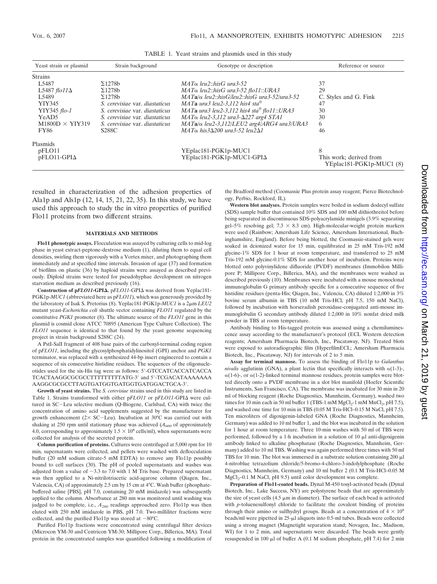| Yeast strain or plasmid | Strain background              | Genotype or description                                 | Reference or source                                 |
|-------------------------|--------------------------------|---------------------------------------------------------|-----------------------------------------------------|
| <b>Strains</b>          |                                |                                                         |                                                     |
| L5487                   | $\Sigma$ 1278b                 | $MATα$ leu2::hisG ura3-52                               | 37                                                  |
| L5487 flo $11\Delta$    | $\Sigma$ 1278b                 | $MAT\alpha$ leu2::hisG ura3-52 flo11::URA3              | 29                                                  |
| L5489                   | $\Sigma$ 1278b                 | $MATa/\alpha$ leu2::hisG/leu2::hisG ura3-52/ura3-52     | C. Styles and G. Fink                               |
| YIY345                  | S. cerevisiae var. diastaticus | MATa ura3 leu2-3.112 his4 sta <sup>0</sup>              | 47                                                  |
| YIY345 flo-1            | S. cerevisiae var. diastaticus | MATa ura3 leu2-3,112 his4 sta <sup>0</sup> flo11::URA3  | 30                                                  |
| YeAD <sub>5</sub>       | S. cerevisiae var. diastaticus | $MAT\alpha$ leu2-3,112 ura3- $\Delta$ 227 arg4 STA1     | 30                                                  |
| $M1800D \times YIY319$  | S. cerevisiae var. diastaticus | $MATa/\alpha$ leu2-3,112/LEU2 arg4/ARG4 ura3/URA3       | 6                                                   |
| <b>FY86</b>             | <b>S288C</b>                   | $MAT\alpha$ his 3 $\Delta$ 200 ura 3-52 leu2 $\Delta$ 1 | 46                                                  |
| Plasmids                |                                |                                                         |                                                     |
| pFLO11                  |                                | YEplac181-PGK1p-MUC1                                    | 8                                                   |
| $pFLO11-GPI\Delta$      |                                | YEplac181-PGK1p-MUC1-GPI∆                               | This work; derived from<br>YEplac181-PGK1p-MUC1 (8) |

TABLE 1. Yeast strains and plasmids used in this study

resulted in characterization of the adhesion properties of Ala1p and Als1p (12, 14, 15, 21, 22, 35). In this study, we have used this approach to study the in vitro properties of purified Flo11 proteins from two different strains.

#### **MATERIALS AND METHODS**

**Flo11 phenotypic assays.** Flocculation was assayed by culturing cells to mid-log phase in yeast extract-peptone-dextrose medium (1), diluting them to equal cell densities, swirling them vigorously with a Vortex mixer, and photographing them immediately and at specified time intervals. Invasion of agar (37) and formation of biofilms on plastic (36) by haploid strains were assayed as described previously. Diploid strains were tested for pseudohyphae development on nitrogen starvation medium as described previously (16).

Construction of p*FLO11***-GPI∆**. p*FLO11***-GPI∆** was derived from Yeplac181-PGK1p-*MUC1* (abbreviated here as p*FLO11*), which was generously provided by the laboratory of Isak S. Pretorius (8). Yeplac181-PGK1p-*MUC1* is a 2μm *LEU2* mutant yeast-*Escherichia coli* shuttle vector containing *FLO11* regulated by the constitutive *PGK1* promoter (8). The ultimate source of the *FLO11* gene in this plasmid is cosmid clone ATCC 70895 (American Type Culture Collection). The *FLO11* sequence is identical to that found by the yeast genome sequencing project in strain background S288C (24).

A PstI-SalI fragment of 408 base pairs of the carboxyl-terminal coding region of p*FLO11*, including the glycosylphosphatidylinositol (GPI) anchor and *PGK1* terminator, was replaced with a synthesized 44-bp insert engineered to contain a sequence of six consecutive histidine residues. The sequences of the oligonucleotides used for the six-His tag were as follows: 5-GTCCATCACCATCACCA TCACTAAGGCGCGCCTTTTTTTTTATG-3' and 5'-TCGACATAAAAAAA AAGGCGCGCCTTAGTGATGGTGATGGTGATGGACTGCA-3.

**Growth of yeast strains.** The *S. cerevisiae* strains used in this study are listed in Table 1. Strains transformed with either pFLO11 or pFLO11-GPI $\Delta$  were cultured in SC-Leu selective medium (Q-Biogene, Carlsbad, CA) with twice the concentration of amino acid supplements suggested by the manufacturer for growth enhancement ( $2 \times$  SC-Leu). Incubation at 30°C was carried out with shaking at 250 rpm until stationary phase was achieved  $(A<sub>600</sub>$  of approximately 4.0, corresponding to approximately  $1.5 \times 10^8$  cells/ml), when supernatants were collected for analysis of the secreted protein.

**Column purification of proteins.** Cultures were centrifuged at 5,000 rpm for 10 min, supernatants were collected, and pellets were washed with deflocculation buffer (20 mM sodium citrate-5 mM EDTA) to remove any Flo11p possibly bound to cell surfaces (30). The pH of pooled supernatants and washes was adjusted from a value of  $\sim$ 3.3 to 7.0 with 1 M Tris base. Prepared supernatant was then applied to a Ni-nitrilotriacetic acid-agarose column (Qiagen, Inc., Valencia, CA) of approximately 2.5 cm by 15 cm at 4°C. Wash buffer (phosphatebuffered saline [PBS], pH 7.0, containing 20 mM imidazole) was subsequently applied to the column. Absorbance at 280 nm was monitored until washing was judged to be complete, i.e.,  $A_{280}$  readings approached zero. Flo11p was then eluted with 250 mM imidazole in PBS, pH 7.0. Two-milliliter fractions were collected, and the purified Flo11p was stored at  $-80^{\circ}$ C.

Purified Flo11p fractions were concentrated using centrifugal filter devices (Microcon YM-30 and Centricon YM-30; Millipore Corp., Billerica, MA). Total protein in the concentrated samples was quantified following a modification of the Bradford method (Coomassie Plus protein assay reagent; Pierce Biotechnology, Perbio, Rockford, IL).

**Western blot analyses.** Protein samples were boiled in sodium dodecyl sulfate (SDS) sample buffer that contained 10% SDS and 100 mM dithiothreitol before being separated in discontinuous SDS-polyacrylamide minigels (3.9% separating gel–5% resolving gel;  $7.3 \times 8.3$  cm). High-molecular-weight protein markers were used (Rainbow; Amersham Life Science, Amersham International, Buchinghamshire, England). Before being blotted, the Coomassie-stained gels were soaked in deionized water for 15 min, equilibrated in 25 mM Tris-192 mM glycine-1% SDS for 1 hour at room temperature, and transferred to 25 mM Tris-192 mM glycine-0.1% SDS for another hour of incubation. Proteins were blotted onto polyvinylidene difluoride (PVDF) membranes (Immobilon Millipore P; Millipore Corp., Billerica, MA), and the membranes were washed as described previously (10). Membranes were incubated with a mouse monoclonal immunoglobulin G primary antibody specific for a consecutive sequence of five histidine residues (penta-His; Qiagen, Inc., Valencia, CA) diluted 1:2,000 in 3% bovine serum albumin in TBS (10 mM Tris-HCl, pH 7.5, 150 mM NaCl), followed by incubation with horseradish peroxidase-conjugated anti-mouse immunoglobulin G secondary antibody diluted 1:2,000 in 10% nonfat dried milk powder in TBS at room temperature.

Antibody binding to His-tagged protein was assessed using a chemiluminescence assay according to the manufacturer's protocol (ECL Western detection reagents; Amersham Pharmacia Biotech, Inc., Piscataway, NJ). Treated blots were exposed to autoradiographic film (HyperfilmECL; Amersham Pharmacia Biotech, Inc., Piscataway, NJ) for intervals of 2 to 5 min.

**Assay for terminal mannose.** To assess the binding of Flo11p to *Galanthus nivalis* agglutinin (GNA), a plant lectin that specifically interacts with  $\alpha(1-3)$ -,  $\alpha$ (1-6)-, or  $\alpha$ (1-2)-linked terminal mannose residues, protein samples were blotted directly onto a PVDF membrane in a slot blot manifold (Hoefer Scientific Instruments, San Francisco, CA). The membrane was incubated for 30 min in 20 ml of blocking reagent (Roche Diagnostics, Mannheim, Germany), washed two times for 10 min each in 50 ml buffer 1 (TBS-1 mM  $MgCl<sub>2</sub>$ -1 mM  $MnCl<sub>2</sub>$ , pH 7.5), and washed one time for 10 min in TBS (0.05 M Tris-HCl–0.15 M NaCl, pH 7.5). Ten microliters of digoxigenin-labeled GNA (Roche Diagnostics, Mannheim, Germany) was added to 10 ml buffer 1, and the blot was incubated in the solution for 1 hour at room temperature. Three 10-min washes with 50 ml of TBS were performed, followed by a 1-h incubation in a solution of 10  $\mu$ l anti-digoxigenin antibody linked to alkaline phosphatase (Roche Diagnostics, Mannheim, Germany) added to 10 ml TBS. Washing was again performed three times with 50 ml TBS for 10 min. The blot was immersed in a substrate solution containing  $200 \mu l$ 4-nitroblue tetrazolium chloride/5-bromo-4-chloro-3-indolylphosphate (Roche Diagnostics, Mannheim, Germany) and 10 ml buffer 2 (0.1 M Tris-HCl–0.05 M  $MgCl<sub>2</sub>=0.1$  M NaCl, pH 9.5) until color development was complete.

**Preparation of Flo11-coated beads.** Dynal M-450 tosyl-activated beads (Dynal Biotech, Inc., Lake Success, NY) are polystyrene beads that are approximately the size of yeast cells (4.5  $\mu$ m in diameter). The surface of each bead is activated with *p*-toluenesulfonyl chloride to facilitate the covalent binding of proteins through their amino or sulfhydryl groups. Beads at a concentration of  $4 \times 10^8$ beads/ml were pipetted in 25-µl aliquots into 0.5-ml tubes. Beads were collected using a strong magnet (Magnetight separation stand; Novagen, Inc., Madison, WI) for 1 to 2 min, and supernatants were discarded. The beads were gently resuspended in 100  $\mu$ l of buffer A (0.1 M sodium phosphate, pH 7.4) for 2 min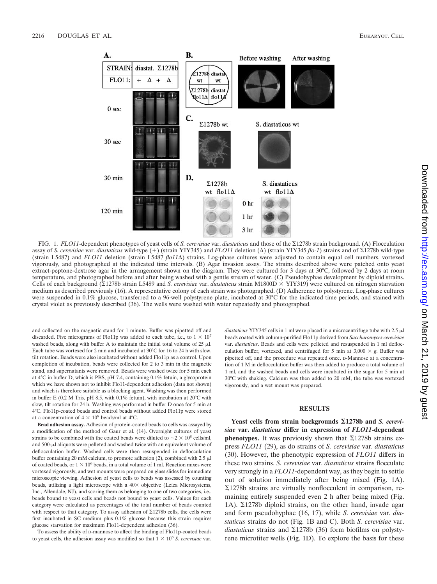

FIG. 1. *FLO11*-dependent phenotypes of yeast cells of *S. cerevisiae* var. *diastaticus* and those of the Σ1278b strain background. (A) Flocculation assay of *S. cerevisiae* var. *diastaticus* wild-type (+) (strain YIY345) and *FLO11* deletion ( $\Delta$ ) (strain YIY345 *flo-1*) strains and of  $\Sigma$ 1278b wild-type (strain L5487) and *FLO11* deletion (strain L5487 *flo11*) strains. Log-phase cultures were adjusted to contain equal cell numbers, vortexed vigorously, and photographed at the indicated time intervals. (B) Agar invasion assay. The strains described above were patched onto yeast extract-peptone-dextrose agar in the arrangement shown on the diagram. They were cultured for 3 days at 30°C, followed by 2 days at room temperature, and photographed before and after being washed with a gentle stream of water. (C) Pseudohyphae development by diploid strains. Cells of each background (Σ1278b strain L5489 and *S. cerevisiae* var. *diastaticus* strain M1800D × YIY319) were cultured on nitrogen starvation medium as described previously (16). A representative colony of each strain was photographed. (D) Adherence to polystyrene. Log-phase cultures were suspended in 0.1% glucose, transferred to a 96-well polystyrene plate, incubated at 30°C for the indicated time periods, and stained with crystal violet as previously described (36). The wells were washed with water repeatedly and photographed.

and collected on the magnetic stand for 1 minute. Buffer was pipetted off and discarded. Five micrograms of Flo11p was added to each tube, i.e., to  $1 \times 10^7$ washed beads, along with buffer A to maintain the initial total volume of  $25 \mu$ . Each tube was vortexed for 2 min and incubated at 30°C for 16 to 24 h with slow, tilt rotation. Beads were also incubated without added Flo11p as a control. Upon completion of incubation, beads were collected for 2 to 3 min in the magnetic stand, and supernatants were removed. Beads were washed twice for 5 min each at 4°C in buffer D, which is PBS, pH 7.4, containing 0.1% fetuin, a glycoprotein which we have shown not to inhibit Flo11-dependent adhesion (data not shown) and which is therefore suitable as a blocking agent. Washing was then performed in buffer E (0.2 M Tris, pH 8.5, with 0.1% fetuin), with incubation at 20°C with slow, tilt rotation for 24 h. Washing was performed in buffer D once for 5 min at 4°C. Flo11p-coated beads and control beads without added Flo11p were stored at a concentration of  $4 \times 10^8$  beads/ml at 4°C.

**Bead adhesion assay.** Adhesion of protein-coated beads to cells was assayed by a modification of the method of Gaur et al. (14). Overnight cultures of yeast strains to be combined with the coated beads were diluted to  $\sim$  2  $\times$  10<sup>8</sup> cells/ml, and  $500$ - $\mu$ l aliquots were pelleted and washed twice with an equivalent volume of deflocculation buffer. Washed cells were then resuspended in deflocculation buffer containing 20 mM calcium, to promote adhesion (2), combined with 2.5  $\mu$ l of coated beads, or  $1 \times 10^6$  beads, in a total volume of 1 ml. Reaction mixes were vortexed vigorously, and wet mounts were prepared on glass slides for immediate microscopic viewing. Adhesion of yeast cells to beads was assessed by counting beads, utilizing a light microscope with a  $40\times$  objective (Leica Microsystems, Inc., Allendale, NJ), and scoring them as belonging to one of two categories, i.e., beads bound to yeast cells and beads not bound to yeast cells. Values for each category were calculated as percentages of the total number of beads counted with respect to that category. To assay adhesion of  $\Sigma$ 1278b cells, the cells were first incubated in SC medium plus 0.1% glucose because this strain requires glucose starvation for maximum Flo11-dependent adhesion (36).

To assess the ability of D-mannose to affect the binding of Flo11p-coated beads to yeast cells, the adhesion assay was modified so that  $1 \times 10^8$  *S. cerevisiae* var. diastaticus YIY345 cells in 1 ml were placed in a microcentrifuge tube with 2.5  $\mu$ l beads coated with column-purified Flo11p derived from *Saccharomyces cerevisiae* var. *diastaticus*. Beads and cells were pelleted and resuspended in 1 ml deflocculation buffer, vortexed, and centrifuged for 5 min at  $3,000 \times g$ . Buffer was pipetted off, and the procedure was repeated once. D-Mannose at a concentration of 1 M in deflocculation buffer was then added to produce a total volume of 1 ml, and the washed beads and cells were incubated in the sugar for 5 min at 30°C with shaking. Calcium was then added to 20 mM, the tube was vortexed vigorously, and a wet mount was prepared.

#### **RESULTS**

Yeast cells from strain backgrounds  $\Sigma$ 1278b and *S. cerevisiae* **var.** *diastaticus* **differ in expression of** *FLO11***-dependent phenotypes.** It was previously shown that  $\Sigma$ 1278b strains express *FLO11* (29), as do strains of *S. cerevisiae* var. *diastaticus* (30). However, the phenotypic expression of *FLO11* differs in these two strains. *S. cerevisiae* var. *diastaticus* strains flocculate very strongly in a *FLO11*-dependent way, as they begin to settle out of solution immediately after being mixed (Fig. 1A).  $\Sigma$ 1278b strains are virtually nonflocculent in comparison, remaining entirely suspended even 2 h after being mixed (Fig. 1A).  $\Sigma$ 1278b diploid strains, on the other hand, invade agar and form pseudohyphae (16, 17), while *S. cerevisiae* var. *diastaticus* strains do not (Fig. 1B and C). Both *S. cerevisiae* var.  $diastaticus$  strains and  $\Sigma$ 1278b (36) form biofilms on polystyrene microtiter wells (Fig. 1D). To explore the basis for these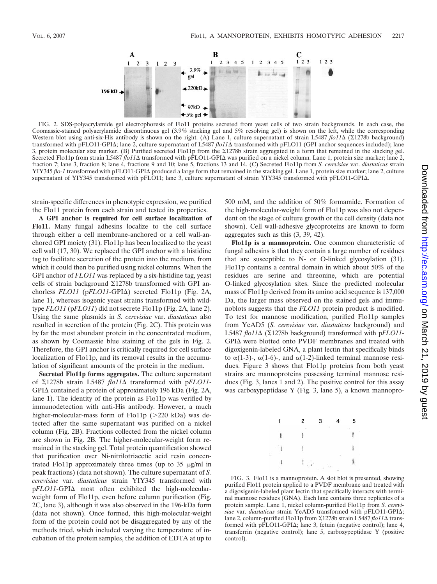

FIG. 2. SDS-polyacrylamide gel electrophoresis of Flo11 proteins secreted from yeast cells of two strain backgrounds. In each case, the Coomassie-stained polyacrylamide discontinuous gel (3.9% stacking gel and 5% resolving gel) is shown on the left, while the corresponding Western blot using anti-six-His antibody is shown on the right. (A) Lane 1, culture supernatant of strain L5487 *flo11*Δ (Σ1278b background) transformed with pFLO11-GPI $\Delta$ ; lane 2, culture supernatant of L5487 *flo11* $\Delta$  transformed with pFLO11 (GPI anchor sequences included); lane 3, protein molecular size marker. (B) Purified secreted Flo11p from the  $\Sigma$ 1278b strain aggregated in a form that remained in the stacking gel. Secreted Flo11p from strain L5487 *flo11* a transformed with pFLO11-GPI was purified on a nickel column. Lane 1, protein size marker; lane 2, fraction 7; lane 3, fraction 8; lane 4, fractions 9 and 10; lane 5, fractions 13 and 14. (C) Secreted Flo11p from *S. cerevisiae* var. *diastaticus* strain YIY345 *flo-1* transformed with pFLO11-GPI $\Delta$  produced a large form that remained in the stacking gel. Lane 1, protein size marker; lane 2, culture supernatant of YIY345 transformed with pFLO11; lane 3, culture supernatant of strain YIY345 transformed with pFLO11-GPI $\Delta$ .

strain-specific differences in phenotypic expression, we purified the Flo11 protein from each strain and tested its properties.

**A GPI anchor is required for cell surface localization of Flo11.** Many fungal adhesins localize to the cell surface through either a cell membrane-anchored or a cell wall-anchored GPI moiety (31). Flo11p has been localized to the yeast cell wall (17, 30). We replaced the GPI anchor with a histidine tag to facilitate secretion of the protein into the medium, from which it could then be purified using nickel columns. When the GPI anchor of *FLO11* was replaced by a six-histidine tag, yeast cells of strain background  $\Sigma$ 1278b transformed with GPI anchorless *FLO11* (p*FLO11*-GPI $\Delta$ ) secreted Flo11p (Fig. 2A, lane 1), whereas isogenic yeast strains transformed with wildtype *FLO11* (p*FLO11*) did not secrete Flo11p (Fig. 2A, lane 2). Using the same plasmids in *S. cerevisiae* var. *diastaticus* also resulted in secretion of the protein (Fig. 2C). This protein was by far the most abundant protein in the concentrated medium, as shown by Coomassie blue staining of the gels in Fig. 2. Therefore, the GPI anchor is critically required for cell surface localization of Flo11p, and its removal results in the accumulation of significant amounts of the protein in the medium.

**Secreted Flo11p forms aggregates.** The culture supernatant of  $\Sigma$ 1278b strain L5487 *flo11* transformed with p*FLO11*-GPI $\Delta$  contained a protein of approximately 196 kDa (Fig. 2A, lane 1). The identity of the protein as Flo11p was verified by immunodetection with anti-His antibody. However, a much higher-molecular-mass form of Flo11p ( 220 kDa) was detected after the same supernatant was purified on a nickel column (Fig. 2B). Fractions collected from the nickel column are shown in Fig. 2B. The higher-molecular-weight form remained in the stacking gel. Total protein quantification showed that purification over Ni-nitrilotriacetic acid resin concentrated Flo11p approximately three times (up to 35  $\mu$ g/ml in peak fractions) (data not shown). The culture supernatant of *S. cerevisiae* var. *diastaticus* strain YIY345 transformed with  $pFLO11$ -GPI $\Delta$  most often exhibited the high-molecularweight form of Flo11p, even before column purification (Fig. 2C, lane 3), although it was also observed in the 196-kDa form (data not shown). Once formed, this high-molecular-weight form of the protein could not be disaggregated by any of the methods tried, which included varying the temperature of incubation of the protein samples, the addition of EDTA at up to

500 mM, and the addition of 50% formamide. Formation of the high-molecular-weight form of Flo11p was also not dependent on the stage of culture growth or the cell density (data not shown). Cell wall-adhesive glycoproteins are known to form aggregates such as this (3, 39, 42).

**Flo11p is a mannoprotein.** One common characteristic of fungal adhesins is that they contain a large number of residues that are susceptible to N- or O-linked glycosylation (31). Flo11p contains a central domain in which about 50% of the residues are serine and threonine, which are potential O-linked glycosylation sites. Since the predicted molecular mass of Flo11p derived from its amino acid sequence is 137,000 Da, the larger mass observed on the stained gels and immunoblots suggests that the *FLO11* protein product is modified. To test for mannose modification, purified Flo11p samples from YeAD5 (*S. cerevisiae* var. *diastaticus* background) and L5487  $flo11\Delta$  ( $\Sigma$ 1278b background) transformed with  $pFLO11$ - $GPI\Delta$  were blotted onto PVDF membranes and treated with digoxigenin-labeled GNA, a plant lectin that specifically binds to  $\alpha(1-3)$ -,  $\alpha(1-6)$ -, and  $\alpha(1-2)$ -linked terminal mannose residues. Figure 3 shows that Flo11p proteins from both yeast strains are mannoproteins possessing terminal mannose residues (Fig. 3, lanes 1 and 2). The positive control for this assay was carboxypeptidase Y (Fig. 3, lane 5), a known mannopro-



FIG. 3. Flo11 is a mannoprotein. A slot blot is presented, showing purified Flo11 protein applied to a PVDF membrane and treated with a digoxigenin-labeled plant lectin that specifically interacts with terminal mannose residues (GNA). Each lane contains three replicates of a protein sample. Lane 1, nickel column-purified Flo11p from *S. cerevi*siae var. diastaticus strain YeAD5 transformed with pFLO11-GPI $\Delta$ ; lane 2, column-purified Flo11p from ∑1278b strain L5487 *flo11*∆ transformed with  $pFLO11-GPI\Delta$ ; lane 3, fetuin (negative control); lane 4, transferrin (negative control); lane 5, carboxypeptidase Y (positive control).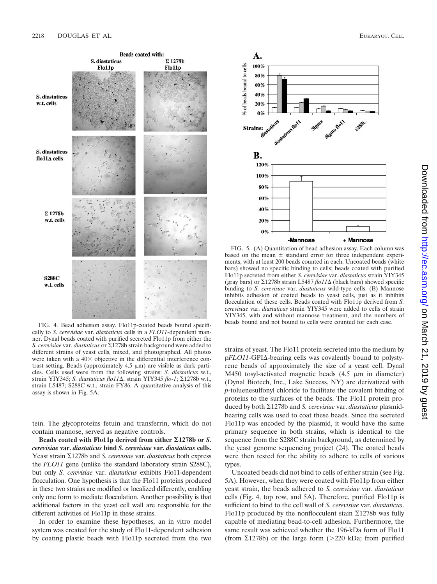

A.



FIG. 4. Bead adhesion assay. Flo11p-coated beads bound specifically to *S. cerevisiae* var. *diastaticus* cells in a *FLO11*-dependent manner. Dynal beads coated with purified secreted Flo11p from either the *S. cerevisiae* var. *diastaticus* or -1278b strain background were added to different strains of yeast cells, mixed, and photographed. All photos were taken with a  $40\times$  objective in the differential interference contrast setting. Beads (approximately  $4.5 \mu m$ ) are visible as dark particles. Cells used were from the following strains: *S. diastaticus* w.t., strain YIY345; *S. diastaticus flo11* \, strain YIY345 *flo-1*;  $\Sigma$ 1278b w.t., strain L5487; S288C w.t., strain FY86. A quantitative analysis of this assay is shown in Fig. 5A.

tein. The glycoproteins fetuin and transferrin, which do not contain mannose, served as negative controls.

**Beads coated with Flo11p derived from either 1278b or** *S. cerevisiae* **var.** *diastaticus* **bind** *S. cerevisiae* **var.** *diastaticus* **cells.** Yeast strain  $\Sigma$ 1278b and *S. cerevisiae* var. *diastaticus* both express the *FLO11* gene (unlike the standard laboratory strain S288C), but only *S. cerevisiae* var. *diastaticus* exhibits Flo11-dependent flocculation. One hypothesis is that the Flo11 proteins produced in these two strains are modified or localized differently, enabling only one form to mediate flocculation. Another possibility is that additional factors in the yeast cell wall are responsible for the different activities of Flo11p in these strains.

In order to examine these hypotheses, an in vitro model system was created for the study of Flo11-dependent adhesion by coating plastic beads with Flo11p secreted from the two

% of beads bound to cells 100% 80% 60% 40%  $20%$  $0%$ **Strains:** В. 120% 100%  $80%$ 60% 40%  $20%$  $0%$ -Mannose + Mannose

FIG. 5. (A) Quantitation of bead adhesion assay. Each column was based on the mean  $\pm$  standard error for three independent experiments, with at least 200 beads counted in each. Uncoated beads (white bars) showed no specific binding to cells; beads coated with purified Flo11p secreted from either *S. cerevisiae* var. *diastaticus* strain YIY345 (gray bars) or  $\Sigma$ 1278b strain L5487 *flo11* $\Delta$  (black bars) showed specific binding to *S. cerevisiae* var. *diastaticus* wild-type cells. (B) Mannose inhibits adhesion of coated beads to yeast cells, just as it inhibits flocculation of these cells. Beads coated with Flo11p derived from *S. cerevisiae* var. *diastaticus* strain YIY345 were added to cells of strain YIY345, with and without mannose treatment, and the numbers of beads bound and not bound to cells were counted for each case.

strains of yeast. The Flo11 protein secreted into the medium by  $pFLO11$ -GPI $\Delta$ -bearing cells was covalently bound to polystyrene beads of approximately the size of a yeast cell. Dynal M450 tosyl-activated magnetic beads  $(4.5 \mu m)$  in diameter) (Dynal Biotech, Inc., Lake Success, NY) are derivatized with *p*-toluenesulfonyl chloride to facilitate the covalent binding of proteins to the surfaces of the beads. The Flo11 protein produced by both Σ1278b and *S. cerevisiae* var. *diastaticus* plasmidbearing cells was used to coat these beads. Since the secreted Flo11p was encoded by the plasmid, it would have the same primary sequence in both strains, which is identical to the sequence from the S288C strain background, as determined by the yeast genome sequencing project (24). The coated beads were then tested for the ability to adhere to cells of various types.

Uncoated beads did not bind to cells of either strain (see Fig. 5A). However, when they were coated with Flo11p from either yeast strain, the beads adhered to *S. cerevisiae* var. *diastaticus* cells (Fig. 4, top row, and 5A). Therefore, purified Flo11p is sufficient to bind to the cell wall of *S. cerevisiae* var. *diastaticus*. Flo11p produced by the nonflocculent stain  $\Sigma$ 1278b was fully capable of mediating bead-to-cell adhesion. Furthermore, the same result was achieved whether the 196-kDa form of Flo11 (from  $\Sigma$ 1278b) or the large form (>220 kDa; from purified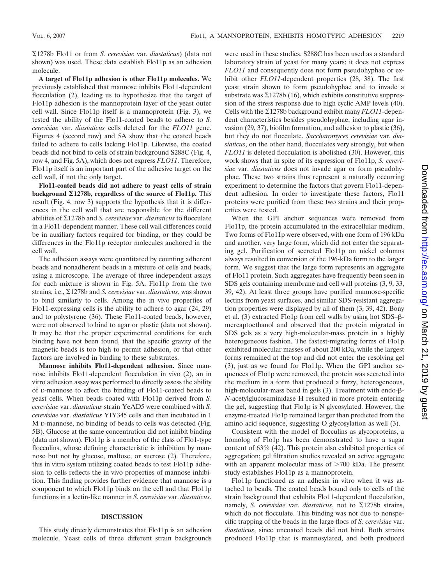-1278b Flo11 or from *S. cerevisiae* var. *diastaticus*) (data not shown) was used. These data establish Flo11p as an adhesion molecule.

**A target of Flo11p adhesion is other Flo11p molecules.** We previously established that mannose inhibits Flo11-dependent flocculation (2), leading us to hypothesize that the target of Flo11p adhesion is the mannoprotein layer of the yeast outer cell wall. Since Flo11p itself is a mannoprotein (Fig. 3), we tested the ability of the Flo11-coated beads to adhere to *S. cerevisiae* var. *diastaticus* cells deleted for the *FLO11* gene. Figures 4 (second row) and 5A show that the coated beads failed to adhere to cells lacking Flo11p. Likewise, the coated beads did not bind to cells of strain background S288C (Fig. 4, row 4, and Fig. 5A), which does not express *FLO11*. Therefore, Flo11p itself is an important part of the adhesive target on the cell wall, if not the only target.

**Flo11-coated beads did not adhere to yeast cells of strain background 1278b, regardless of the source of Flo11p.** This result (Fig. 4, row 3) supports the hypothesis that it is differences in the cell wall that are responsible for the different abilities of  $\Sigma$ 1278b and *S. cerevisiae* var. *diastaticus* to flocculate in a Flo11-dependent manner. These cell wall differences could be in auxiliary factors required for binding, or they could be differences in the Flo11p receptor molecules anchored in the cell wall.

The adhesion assays were quantitated by counting adherent beads and nonadherent beads in a mixture of cells and beads, using a microscope. The average of three independent assays for each mixture is shown in Fig. 5A. Flo11p from the two strains, i.e., ∑1278b and *S. cerevisiae* var. *diastaticus*, was shown to bind similarly to cells. Among the in vivo properties of Flo11-expressing cells is the ability to adhere to agar (24, 29) and to polystyrene (36). These Flo11-coated beads, however, were not observed to bind to agar or plastic (data not shown). It may be that the proper experimental conditions for such binding have not been found, that the specific gravity of the magnetic beads is too high to permit adhesion, or that other factors are involved in binding to these substrates.

**Mannose inhibits Flo11-dependent adhesion.** Since mannose inhibits Flo11-dependent flocculation in vivo (2), an in vitro adhesion assay was performed to directly assess the ability of D-mannose to affect the binding of Flo11-coated beads to yeast cells. When beads coated with Flo11p derived from *S. cerevisiae* var. *diastaticus* strain YeAD5 were combined with *S. cerevisiae* var. *diastaticus* YIY345 cells and then incubated in 1 M D-mannose, no binding of beads to cells was detected (Fig. 5B). Glucose at the same concentration did not inhibit binding (data not shown). Flo11p is a member of the class of Flo1-type flocculins, whose defining characteristic is inhibition by mannose but not by glucose, maltose, or sucrose (2). Therefore, this in vitro system utilizing coated beads to test Flo11p adhesion to cells reflects the in vivo properties of mannose inhibition. This finding provides further evidence that mannose is a component to which Flo11p binds on the cell and that Flo11p functions in a lectin-like manner in *S. cerevisiae* var. *diastaticus*.

#### **DISCUSSION**

This study directly demonstrates that Flo11p is an adhesion molecule. Yeast cells of three different strain backgrounds were used in these studies. S288C has been used as a standard laboratory strain of yeast for many years; it does not express *FLO11* and consequently does not form pseudohyphae or exhibit other *FLO11*-dependent properties (28, 38). The first yeast strain shown to form pseudohyphae and to invade a substrate was  $\Sigma$ 1278b (16), which exhibits constitutive suppression of the stress response due to high cyclic AMP levels (40). Cells with the  $\Sigma$ 1278b background exhibit many *FLO11*-dependent characteristics besides pseudohyphae, including agar invasion (29, 37), biofilm formation, and adhesion to plastic (36), but they do not flocculate. *Saccharomyces cerevisiae* var. *diastaticus*, on the other hand, flocculates very strongly, but when *FLO11* is deleted flocculation is abolished (30). However, this work shows that in spite of its expression of Flo11p, *S. cerevisiae* var. *diastaticus* does not invade agar or form pseudohyphae. These two strains thus represent a naturally occurring experiment to determine the factors that govern Flo11-dependent adhesion. In order to investigate these factors, Flo11 proteins were purified from these two strains and their properties were tested.

When the GPI anchor sequences were removed from Flo11p, the protein accumulated in the extracellular medium. Two forms of Flo11p were observed, with one form of 196 kDa and another, very large form, which did not enter the separating gel. Purification of secreted Flo11p on nickel columns always resulted in conversion of the 196-kDa form to the larger form. We suggest that the large form represents an aggregate of Flo11 protein. Such aggregates have frequently been seen in SDS gels containing membrane and cell wall proteins (3, 9, 33, 39, 42). At least three groups have purified mannose-specific lectins from yeast surfaces, and similar SDS-resistant aggregation properties were displayed by all of them (3, 39, 42). Bony et al.  $(3)$  extracted Flo1p from cell walls by using hot SDS- $\beta$ mercaptoethanol and observed that the protein migrated in SDS gels as a very high-molecular-mass protein in a highly heterogeneous fashion. The fastest-migrating forms of Flo1p exhibited molecular masses of about 200 kDa, while the largest forms remained at the top and did not enter the resolving gel (3), just as we found for Flo11p. When the GPI anchor sequences of Flo1p were removed, the protein was secreted into the medium in a form that produced a fuzzy, heterogeneous, high-molecular-mass band in gels  $(3)$ . Treatment with endo- $\beta$ -*N*-acetylglucosaminidase H resulted in more protein entering the gel, suggesting that Flo1p is N glycosylated. However, the enzyme-treated Flo1p remained larger than predicted from the amino acid sequence, suggesting O glycosylation as well (3).

Consistent with the model of flocculins as glycoproteins, a homolog of Flo1p has been demonstrated to have a sugar content of 63% (42). This protein also exhibited properties of aggregation; gel filtration studies revealed an active aggregate with an apparent molecular mass of 700 kDa. The present study establishes Flo11p as a mannoprotein.

Flo11p functioned as an adhesin in vitro when it was attached to beads. The coated beads bound only to cells of the strain background that exhibits Flo11-dependent flocculation, namely, *S. cerevisiae* var. *diastaticus*, not to  $\Sigma$ 1278b strains, which do not flocculate. This binding was not due to nonspecific trapping of the beads in the large flocs of *S. cerevisiae* var. *diastaticus*, since uncoated beads did not bind. Both strains produced Flo11p that is mannosylated, and both produced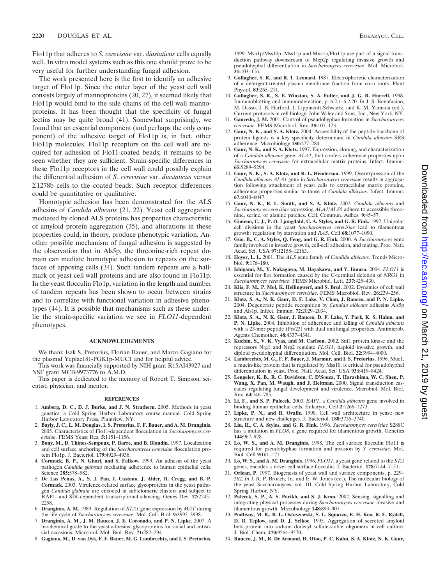Flo11p that adheres to *S. cerevisiae* var. *diastaticus* cells equally well. In vitro model systems such as this one should prove to be very useful for further understanding fungal adhesion.

The work presented here is the first to identify an adhesive target of Flo11p. Since the outer layer of the yeast cell wall consists largely of mannoproteins (20, 27), it seemed likely that Flo11p would bind to the side chains of the cell wall mannoproteins. It has been thought that the specificity of fungal lectins may be quite broad (41). Somewhat surprisingly, we found that an essential component (and perhaps the only component) of the adhesive target of Flo11p is, in fact, other Flo11p molecules. Flo11p receptors on the cell wall are required for adhesion of Flo11-coated beads; it remains to be seen whether they are sufficient. Strain-specific differences in these Flo11p receptors in the cell wall could possibly explain the differential adhesion of *S. cerevisiae* var. *diastaticus* versus  $\Sigma$ 1278b cells to the coated beads. Such receptor differences could be quantitative or qualitative.

Homotypic adhesion has been demonstrated for the ALS adhesins of *Candida albicans* (21, 22). Yeast cell aggregation mediated by cloned ALS proteins has properties characteristic of amyloid protein aggregation (35), and alterations in these properties could, in theory, produce phenotypic variation. Another possible mechanism of fungal adhesion is suggested by the observation that in Als5p, the threonine-rich repeat domain can mediate homotypic adhesion to repeats on the surfaces of apposing cells (34). Such tandem repeats are a hallmark of yeast cell wall proteins and are also found in Flo11p. In the yeast flocculin Flo1p, variation in the length and number of tandem repeats has been shown to occur between strains and to correlate with functional variation in adhesive phenotypes (44). It is possible that mechanisms such as these underlie the strain-specific variation we see in *FLO11*-dependent phenotypes.

#### **ACKNOWLEDGMENTS**

We thank Isak S. Pretorius, Florian Bauer, and Marco Gagiano for the plasmid Yeplac181-PGK1p-MUC1 and for helpful advice.

This work was financially supported by NIH grant R15AI43927 and NSF grant MCB-9973776 to A.M.D.

This paper is dedicated to the memory of Robert T. Simpson, scientist, physician, and mentor.

#### **REFERENCES**

- 1. **Amberg, D. C., D. J. Burke, and J. N. Strathern.** 2005. Methods in yeast genetics: a Cold Spring Harbor Laboratory course manual. Cold Spring Harbor Laboratory Press, Plainview, NY.
- 2. **Bayly, J. C., L. M. Douglas, I. S. Pretorius, F. F. Bauer, and A. M. Dranginis.** 2005. Characteristics of Flo11-dependent flocculation in *Saccharomyces cerevisiae*. FEMS Yeast Res. **5:**1151–1156.
- 3. **Bony, M., D. Thines-Sempoux, P. Barre, and B. Blondin.** 1997. Localization and cell surface anchoring of the *Saccharomyces cerevisiae* flocculation protein Flo1p. J. Bacteriol. **179:**4929–4936.
- 4. **Cormack, B. P., N. Ghori, and S. Falkow.** 1999. An adhesin of the yeast pathogen *Candida glabrata* mediating adherence to human epithelial cells. Science **285:**578–582.
- 5. **De Las Penas, A., S. J. Pan, I. Castano, J. Alder, R. Cregg, and B. P. Cormack.** 2003. Virulence-related surface glycoproteins in the yeast pathogen *Candida glabrata* are encoded in subtelomeric clusters and subject to RAP1- and SIR-dependent transcriptional silencing. Genes Dev. **17:**2245– 2258.
- 6. **Dranginis, A. M.** 1989. Regulation of *STA1* gene expression by *MAT* during the life cycle of *Saccharomyces cerevisiae*. Mol. Cell. Biol. **9:**3992–3998.
- 7. **Dranginis, A. M., J. M. Rauceo, J. E. Coronado, and P. N. Lipke.** 2007. A biochemical guide to the yeast adhesins: glycoproteins for social and antisocial occasions. Microbiol. Mol. Biol. Rev. **71:**282–294.
- 8. **Gagiano, M., D. van Dyk, F. F. Bauer, M. G. Lambrechts, and I. S. Pretorius.**

1999. Msn1p/Mss10p, Mss11p and Muc1p/Flo11p are part of a signal transduction pathway downstream of Mep2p regulating invasive growth and pseudohyphal differentiation in *Saccharomyces cerevisiae*. Mol. Microbiol. **31:**103–116.

- 9. **Gallagher, S. R., and R. T. Leonard.** 1987. Electrophoretic characterization of a detergent-treated plasma membrane fraction from corn roots. Plant Physiol. **83:**265–271.
- 10. **Gallagher, S. R., S. E. Winston, S. A. Fuller, and J. G. R. Hurrell.** 1998. Immunoblotting and immunodetection, p. 6.2.1–6.2.20. *In* J. S. Bonafacino, M. Dasso, J. B. Harford, J. Lippincott-Schwartz, and K. M. Yamada (ed.), Current protocols in cell biology. John Wiley and Sons, Inc., New York, NY.
- 11. **Gancedo, J. M.** 2001. Control of pseudohyphae formation in *Saccharomyces cerevisiae*. FEMS Microbiol. Rev. **25:**107–123.
- 12. **Gaur, N. K., and S. A. Klotz.** 2004. Accessibility of the peptide backbone of protein ligands is a key specificity determinant in *Candida albicans* SRS adherence. Microbiology **150:**277–284.
- 13. **Gaur, N. K., and S. A. Klotz.** 1997. Expression, cloning, and characterization of a *Candida albicans* gene, *ALA1*, that confers adherence properties upon *Saccharomyces cerevisiae* for extracellular matrix proteins. Infect. Immun. **65:**5289–5294.
- 14. **Gaur, N. K., S. A. Klotz, and R. L. Henderson.** 1999. Overexpression of the *Candida albicans ALA1* gene in *Saccharomyces cerevisiae* results in aggregation following attachment of yeast cells to extracellular matrix proteins, adherence properties similar to those of *Candida albicans*. Infect. Immun. **67:**6040–6047.
- 15. **Gaur, N. K., R. L. Smith, and S. A. Klotz.** 2002. *Candida albicans* and *Saccharomyces cerevisiae* expressing *ALA1*/*ALS5* adhere to accessible threonine, serine, or alanine patches. Cell. Commun. Adhes. **9:**45–57.
- 16. **Gimeno, C. J., P. O. Ljungdahl, C. A. Styles, and G. R. Fink.** 1992. Unipolar cell divisions in the yeast *Saccharomyces cerevisiae* lead to filamentous growth: regulation by starvation and *RAS*. Cell **68:**1077–1090.
- 17. **Guo, B., C. A. Styles, Q. Feng, and G. R. Fink.** 2000. A *Saccharomyces* gene family involved in invasive growth, cell-cell adhesion, and mating. Proc. Natl. Acad. Sci. USA **97:**12158–12163.
- 18. **Hoyer, L. L.** 2001. The *ALS* gene family of *Candida albicans*. Trends Microbiol. **9:**176–180.
- 19. **Ishigami, M., Y. Nakagawa, M. Hayakawa, and Y. Iimura.** 2004. *FLO11* is essential for flor formation caused by the C-terminal deletion of *NRG1* in *Saccharomyces cerevisiae*. FEMS Microbiol. Lett. **237:**425–430.
- 20. **Klis, F. M., P. Mol, K. Hellingwerf, and S. Brul.** 2002. Dynamics of cell wall structure in *Saccharomyces cerevisiae*. FEMS Microbiol. Rev. **26:**239–256.
- 21. **Klotz, S. A., N. K. Gaur, D. F. Lake, V. Chan, J. Rauceo, and P. N. Lipke.** 2004. Degenerate peptide recognition by *Candida albicans* adhesins Als5p and Als1p. Infect. Immun. **72:**2029–2034.
- 22. **Klotz, S. A., N. K. Gaur, J. Rauceo, D. F. Lake, Y. Park, K. S. Hahm, and P. N. Lipke.** 2004. Inhibition of adherence and killing of *Candida albicans* with a 23-mer peptide (Fn/23) with dual antifungal properties. Antimicrob. Agents Chemother. **48:**4337–4341.
- 23. **Kuchin, S., V. K. Vyas, and M. Carlson.** 2002. Snf1 protein kinase and the repressors Nrg1 and Nrg2 regulate *FLO11*, haploid invasive growth, and diploid pseudohyphal differentiation. Mol. Cell. Biol. **22:**3994–4000.
- 24. **Lambrechts, M. G., F. F. Bauer, J. Marmur, and I. S. Pretorius.** 1996. Muc1, a mucin-like protein that is regulated by Mss10, is critical for pseudohyphal differentiation in yeast. Proc. Natl. Acad. Sci. USA **93:**8419–8424.
- 25. **Lengeler, K. B., R. C. Davidson, C. D'Souza, T. Harashima, W. C. Shen, P. Wang, X. Pan, M. Waugh, and J. Heitman.** 2000. Signal transduction cascades regulating fungal development and virulence. Microbiol. Mol. Biol. Rev. **64:**746–785.
- 26. **Li, F., and S. P. Palecek.** 2003. *EAP1*, a *Candida albicans* gene involved in binding human epithelial cells. Eukaryot. Cell **2:**1266–1273.
- 27. **Lipke, P. N., and R. Ovalle.** 1998. Cell wall architecture in yeast: new structure and new challenges. J. Bacteriol. **180:**3735–3740.
- 28. **Liu, H., C. A. Styles, and G. R. Fink.** 1996. *Saccharomyces cerevisiae* S288C has a mutation in *FLO8*, a gene required for filamentous growth. Genetics **144:**967–978.
- 29. **Lo, W. S., and A. M. Dranginis.** 1998. The cell surface flocculin Flo11 is required for pseudohyphae formation and invasion by *S. cerevisiae*. Mol. Biol. Cell **9:**161–171.
- 30. **Lo, W. S., and A. M. Dranginis.** 1996. *FLO11*, a yeast gene related to the *STA* genes, encodes a novel cell surface flocculin. J. Bacteriol. **178:**7144–7151.
- 31. **Orlean, P.** 1997. Biogenesis of yeast wall and surface components, p. 229– 362. *In* J. R. P. Broach, Jr., and E. W. Jones (ed.), The molecular biology of the yeast Saccharomyces, vol. III. Cold Spring Harbor Laboratory, Cold Spring Harbor, NY.
- 32. **Palecek, S. P., A. S. Parikh, and S. J. Kron.** 2002. Sensing, signalling and integrating physical processes during *Saccharomyces cerevisiae* invasive and filamentous growth. Microbiology **148:**893–907.
- 33. **Podlisny, M. B., B. L. Ostaszewski, S. L. Squazzo, E. H. Koo, R. E. Rydell, D. B. Teplow, and D. J. Selkoe.** 1995. Aggregation of secreted amyloid beta-protein into sodium dodecyl sulfate-stable oligomers in cell culture. J. Biol. Chem. **270:**9564–9570.
- 34. **Rauceo, J. M., R. De Armond, H. Otoo, P. C. Kahn, S. A. Klotz, N. K. Gaur,**